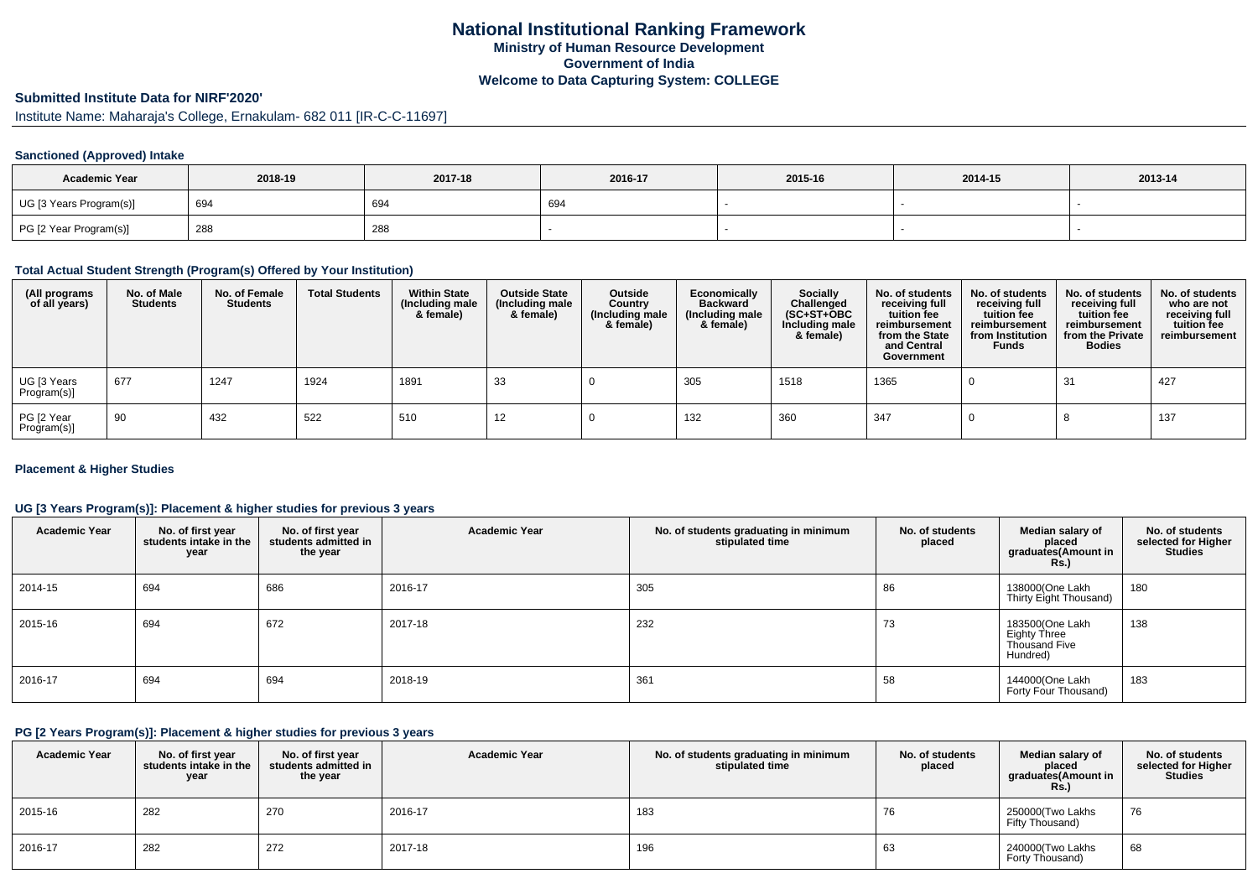# **Submitted Institute Data for NIRF'2020'**

Institute Name: Maharaja's College, Ernakulam- 682 011 [IR-C-C-11697]

### **Sanctioned (Approved) Intake**

| <b>Academic Year</b>    | 2018-19 | 2017-18 | 2016-17 | 2015-16 | 2014-15 | 2013-14 |
|-------------------------|---------|---------|---------|---------|---------|---------|
| UG [3 Years Program(s)] | 694     | 694     | 694     |         |         |         |
| PG [2 Year Program(s)]  | 288     | 288     |         |         |         |         |

#### **Total Actual Student Strength (Program(s) Offered by Your Institution)**

| (All programs<br>of all years) | No. of Male<br><b>Students</b> | No. of Female<br><b>Students</b> | <b>Total Students</b> | <b>Within State</b><br>(Including male<br>& female) | <b>Outside State</b><br>(Including male<br>& female) | Outside<br>Country<br>(Including male<br>& female) | Economically<br><b>Backward</b><br>(Including male<br>& female) | <b>Socially</b><br>Challenged<br>$(SC+ST+OBC)$<br>Including male<br>& female) | No. of students<br>receiving full<br>tuition fee<br>reimbursement<br>from the State<br>and Central<br>Government | No. of students<br>receiving full<br>tuition fee<br>reimbursement<br>from Institution<br><b>Funds</b> | No. of students<br>receiving full<br>tuition fee<br>reimbursement<br>from the Private<br><b>Bodies</b> | No. of students<br>who are not<br>receiving full<br>tuition fee<br>reimbursement |
|--------------------------------|--------------------------------|----------------------------------|-----------------------|-----------------------------------------------------|------------------------------------------------------|----------------------------------------------------|-----------------------------------------------------------------|-------------------------------------------------------------------------------|------------------------------------------------------------------------------------------------------------------|-------------------------------------------------------------------------------------------------------|--------------------------------------------------------------------------------------------------------|----------------------------------------------------------------------------------|
| UG [3 Years<br>Program(s)]     | 677                            | 1247                             | 1924                  | 1891                                                | 33                                                   |                                                    | 305                                                             | 1518                                                                          | 1365                                                                                                             |                                                                                                       | -31                                                                                                    | 427                                                                              |
| PG [2 Year<br>Program(s)]      | 90                             | 432                              | 522                   | 510                                                 | 12                                                   |                                                    | 132                                                             | 360                                                                           | 347                                                                                                              |                                                                                                       |                                                                                                        | 137                                                                              |

### **Placement & Higher Studies**

### **UG [3 Years Program(s)]: Placement & higher studies for previous 3 years**

| <b>Academic Year</b> | No. of first year<br>students intake in the<br>year | No. of first year<br>students admitted in<br>the year | <b>Academic Year</b> | No. of students graduating in minimum<br>stipulated time | No. of students<br>placed | Median salary of<br>placed<br>graduates(Amount in<br><b>Rs.</b> )   | No. of students<br>selected for Higher<br><b>Studies</b> |
|----------------------|-----------------------------------------------------|-------------------------------------------------------|----------------------|----------------------------------------------------------|---------------------------|---------------------------------------------------------------------|----------------------------------------------------------|
| 2014-15              | 694                                                 | 686                                                   | 2016-17              | 305                                                      | 86                        | 138000(One Lakh<br>Thirty Eight Thousand)                           | 180                                                      |
| 2015-16              | 694                                                 | 672                                                   | 2017-18              | 232                                                      | 73                        | 183500(One Lakh<br><b>Eighty Three</b><br>Thousand Five<br>Hundred) | 138                                                      |
| 2016-17              | 694                                                 | 694                                                   | 2018-19              | 361                                                      | 58                        | 144000(One Lakh<br>Forty Four Thousand)                             | 183                                                      |

#### **PG [2 Years Program(s)]: Placement & higher studies for previous 3 years**

| <b>Academic Year</b> | No. of first year<br>students intake in the<br>year | No. of first year<br>students admitted in<br>the year | <b>Academic Year</b> | No. of students graduating in minimum<br>stipulated time | No. of students<br>placed | Median salary of<br>placed<br>graduates(Amount in<br><b>Rs.)</b> | No. of students<br>selected for Higher<br><b>Studies</b> |
|----------------------|-----------------------------------------------------|-------------------------------------------------------|----------------------|----------------------------------------------------------|---------------------------|------------------------------------------------------------------|----------------------------------------------------------|
| 2015-16              | 282                                                 | 270                                                   | 2016-17              | 183                                                      | 76                        | 250000(Two Lakhs<br>Fifty Thousand)                              | 76                                                       |
| 2016-17              | 282                                                 | 272                                                   | 2017-18              | 196                                                      | 63                        | 240000(Two Lakhs<br>Forty Thousand)                              | 68                                                       |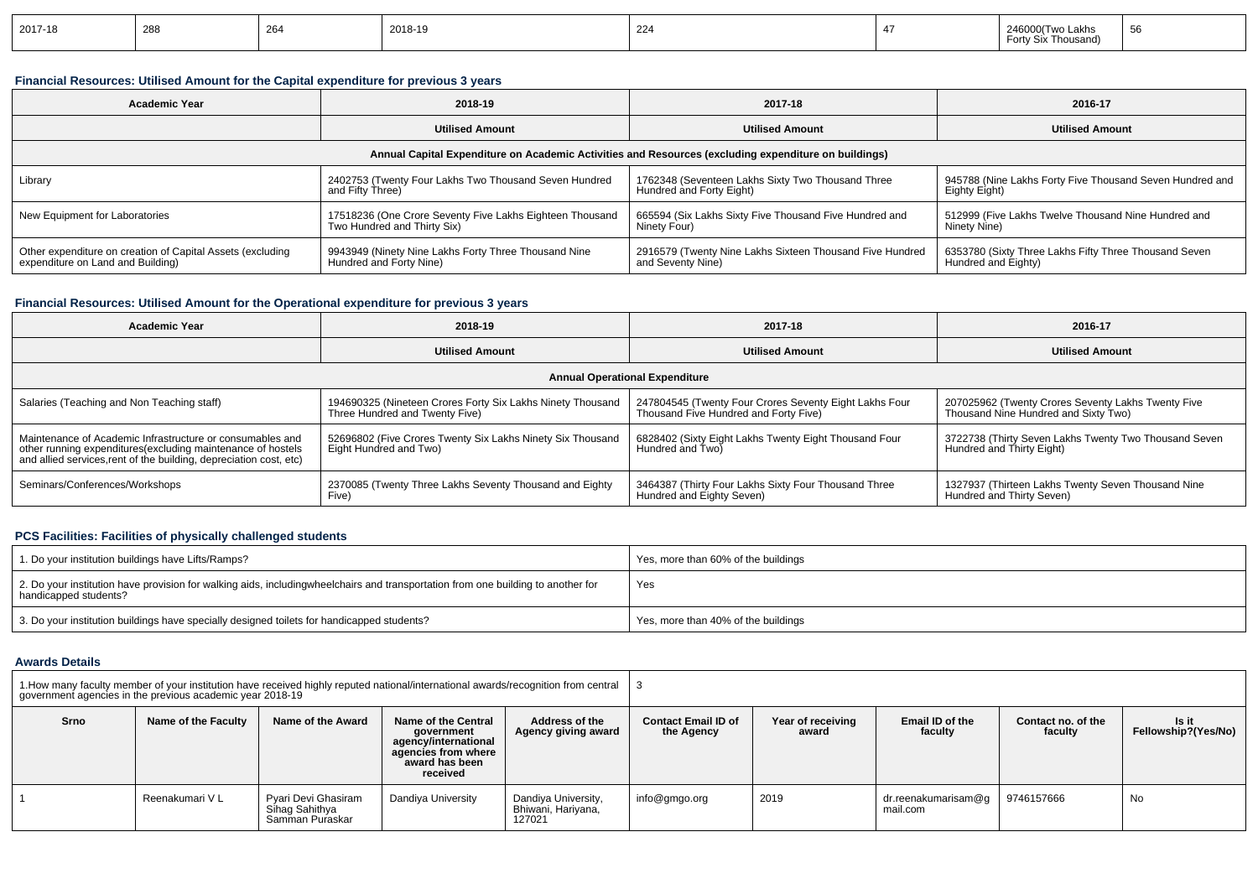| 2017-18 | 288 | $\sim$<br>י∕ס∠ | 2018-19 | 224 | akhe<br>Thousand) | ວດ |
|---------|-----|----------------|---------|-----|-------------------|----|
|         |     |                |         |     |                   |    |

### **Financial Resources: Utilised Amount for the Capital expenditure for previous 3 years**

| <b>Academic Year</b>                                                                                 | 2018-19                                                  | 2017-18                                                  | 2016-17                                                  |  |  |  |
|------------------------------------------------------------------------------------------------------|----------------------------------------------------------|----------------------------------------------------------|----------------------------------------------------------|--|--|--|
|                                                                                                      | <b>Utilised Amount</b>                                   | <b>Utilised Amount</b>                                   | <b>Utilised Amount</b>                                   |  |  |  |
| Annual Capital Expenditure on Academic Activities and Resources (excluding expenditure on buildings) |                                                          |                                                          |                                                          |  |  |  |
| Library                                                                                              | 2402753 (Twenty Four Lakhs Two Thousand Seven Hundred    | 1762348 (Seventeen Lakhs Sixty Two Thousand Three        | 945788 (Nine Lakhs Forty Five Thousand Seven Hundred and |  |  |  |
|                                                                                                      | and Fifty Three)                                         | Hundred and Forty Eight)                                 | Eighty Eight)                                            |  |  |  |
| New Equipment for Laboratories                                                                       | 17518236 (One Crore Seventy Five Lakhs Eighteen Thousand | 665594 (Six Lakhs Sixty Five Thousand Five Hundred and   | 512999 (Five Lakhs Twelve Thousand Nine Hundred and      |  |  |  |
|                                                                                                      | Two Hundred and Thirty Six)                              | Ninety Four)                                             | Ninety Nine)                                             |  |  |  |
| Other expenditure on creation of Capital Assets (excluding                                           | 9943949 (Ninety Nine Lakhs Forty Three Thousand Nine     | 2916579 (Twenty Nine Lakhs Sixteen Thousand Five Hundred | 6353780 (Sixty Three Lakhs Fifty Three Thousand Seven    |  |  |  |
| expenditure on Land and Building)                                                                    | Hundred and Forty Nine)                                  | and Seventy Nine)                                        | Hundred and Eighty)                                      |  |  |  |

### **Financial Resources: Utilised Amount for the Operational expenditure for previous 3 years**

| <b>Academic Year</b>                                                                                                                                                                            | 2018-19                                                                                      | 2017-18                                                                                         | 2016-17                                                                                    |  |  |  |  |
|-------------------------------------------------------------------------------------------------------------------------------------------------------------------------------------------------|----------------------------------------------------------------------------------------------|-------------------------------------------------------------------------------------------------|--------------------------------------------------------------------------------------------|--|--|--|--|
|                                                                                                                                                                                                 | <b>Utilised Amount</b>                                                                       | <b>Utilised Amount</b>                                                                          | <b>Utilised Amount</b>                                                                     |  |  |  |  |
| <b>Annual Operational Expenditure</b>                                                                                                                                                           |                                                                                              |                                                                                                 |                                                                                            |  |  |  |  |
| Salaries (Teaching and Non Teaching staff)                                                                                                                                                      | 194690325 (Nineteen Crores Forty Six Lakhs Ninety Thousand<br>Three Hundred and Twenty Five) | 247804545 (Twenty Four Crores Seventy Eight Lakhs Four<br>Thousand Five Hundred and Forty Five) | 207025962 (Twenty Crores Seventy Lakhs Twenty Five<br>Thousand Nine Hundred and Sixty Two) |  |  |  |  |
| Maintenance of Academic Infrastructure or consumables and<br>other running expenditures (excluding maintenance of hostels<br>and allied services, rent of the building, depreciation cost, etc) | 52696802 (Five Crores Twenty Six Lakhs Ninety Six Thousand<br>Eight Hundred and Two)         | 6828402 (Sixty Eight Lakhs Twenty Eight Thousand Four<br>Hundred and Two)                       | 3722738 (Thirty Seven Lakhs Twenty Two Thousand Seven<br>Hundred and Thirty Eight)         |  |  |  |  |
| Seminars/Conferences/Workshops                                                                                                                                                                  | 2370085 (Twenty Three Lakhs Seventy Thousand and Eighty<br>Five)                             | 3464387 (Thirty Four Lakhs Sixty Four Thousand Three<br>Hundred and Eighty Seven)               | 1327937 (Thirteen Lakhs Twenty Seven Thousand Nine<br>Hundred and Thirty Seven)            |  |  |  |  |

### **PCS Facilities: Facilities of physically challenged students**

| 1. Do your institution buildings have Lifts/Ramps?                                                                                                        | Yes, more than 60% of the buildings |
|-----------------------------------------------------------------------------------------------------------------------------------------------------------|-------------------------------------|
| 2. Do your institution have provision for walking aids, includingwheelchairs and transportation from one building to another for<br>handicapped students? | Yes                                 |
| 3. Do your institution buildings have specially designed toilets for handicapped students?                                                                | Yes, more than 40% of the buildings |

#### **Awards Details**

| 1. How many faculty member of your institution have received highly reputed national/international awards/recognition from central   3<br>government agencies in the previous academic year 2018-19 |                     |                                                          |                                                                                                                |                                                     |                                          |                            |                                 |                               |                              |
|-----------------------------------------------------------------------------------------------------------------------------------------------------------------------------------------------------|---------------------|----------------------------------------------------------|----------------------------------------------------------------------------------------------------------------|-----------------------------------------------------|------------------------------------------|----------------------------|---------------------------------|-------------------------------|------------------------------|
| Srno                                                                                                                                                                                                | Name of the Faculty | Name of the Award                                        | Name of the Central<br>government<br>agency/international<br>agencies from where<br>award has been<br>received | Address of the<br>Agency giving award               | <b>Contact Email ID of</b><br>the Agency | Year of receiving<br>award | Email ID of the<br>faculty      | Contact no, of the<br>faculty | Is it<br>Fellowship?(Yes/No) |
|                                                                                                                                                                                                     | Reenakumari V L     | Pyari Devi Ghasiram<br>Sihaq Sahithya<br>Samman Puraskar | Dandiya University                                                                                             | Dandiya University,<br>Bhiwani, Hariyana,<br>127021 | info@gmgo.org                            | 2019                       | dr.reenakumarisam@g<br>mail.com | 9746157666                    | No                           |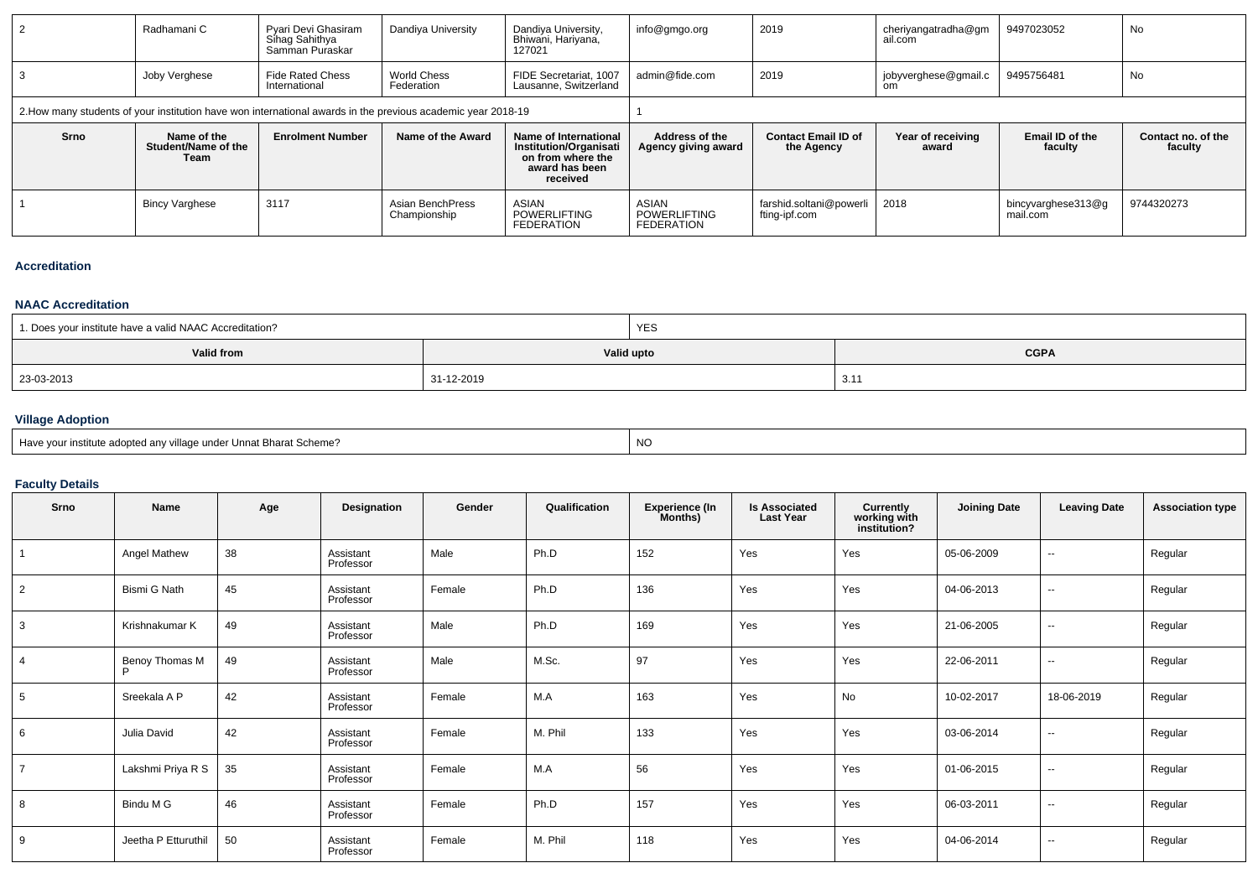| 2    | Radhamani C                                                                                                  | Pyari Devi Ghasiram<br>Sinag Sahithya<br>Samman Puraskar | Dandiya University               | Dandiya University,<br>Bhiwani, Hariyana,<br>127021                                                       | info@gmgo.org                                     | 2019                                     | cheriyangatradha@gm<br>ail.com | 9497023052                     | No                            |
|------|--------------------------------------------------------------------------------------------------------------|----------------------------------------------------------|----------------------------------|-----------------------------------------------------------------------------------------------------------|---------------------------------------------------|------------------------------------------|--------------------------------|--------------------------------|-------------------------------|
| 3    | Joby Verghese                                                                                                | <b>Fide Rated Chess</b><br>International                 | World Chess<br>Federation        | FIDE Secretariat, 1007<br>Lausanne, Switzerland                                                           | admin@fide.com                                    | 2019                                     | jobyverghese@gmail.c<br>om     | 9495756481                     | No                            |
|      | 2. How many students of your institution have won international awards in the previous academic year 2018-19 |                                                          |                                  |                                                                                                           |                                                   |                                          |                                |                                |                               |
| Srno | Name of the<br>Student/Name of the<br>Team                                                                   | <b>Enrolment Number</b>                                  | Name of the Award                | Name of International<br><b>Institution/Organisati</b><br>on from where the<br>award has been<br>received | Address of the<br>Agency giving award             | <b>Contact Email ID of</b><br>the Agency | Year of receiving<br>award     | Email ID of the<br>faculty     | Contact no. of the<br>faculty |
|      | <b>Bincy Varghese</b>                                                                                        | 3117                                                     | Asian BenchPress<br>Championship | ASIAN<br><b>POWERLIFTING</b><br><b>FEDERATION</b>                                                         | ASIAN<br><b>POWERLIFTING</b><br><b>FEDERATION</b> | farshid.soltani@powerli<br>fting-ipf.com | 2018                           | bincyvarghese313@g<br>mail.com | 9744320273                    |

#### **Accreditation**

### **NAAC Accreditation**

| 1. Does your institute have a valid NAAC Accreditation? | <b>YES</b> |             |
|---------------------------------------------------------|------------|-------------|
| <b>Valid from</b>                                       | Valid upto | <b>CGPA</b> |
| 23-03-2013                                              | 31-12-2019 | 3.1         |

## **Village Adoption**

| Have your institute adopted any village under Unnat Bharat Scheme? | <b>NC</b> |
|--------------------------------------------------------------------|-----------|
|--------------------------------------------------------------------|-----------|

## **Faculty Details**

| Srno           | Name                | Age | Designation            | Gender | Qualification | <b>Experience (In</b><br>Months) | <b>Is Associated</b><br>Last Year | <b>Currently<br/>working with<br/>institution?</b> | <b>Joining Date</b> | <b>Leaving Date</b>      | <b>Association type</b> |
|----------------|---------------------|-----|------------------------|--------|---------------|----------------------------------|-----------------------------------|----------------------------------------------------|---------------------|--------------------------|-------------------------|
|                | Angel Mathew        | 38  | Assistant<br>Professor | Male   | Ph.D          | 152                              | Yes                               | Yes                                                | 05-06-2009          | $\overline{\phantom{a}}$ | Regular                 |
| 2              | Bismi G Nath        | 45  | Assistant<br>Professor | Female | Ph.D          | 136                              | Yes                               | Yes                                                | 04-06-2013          | $\overline{\phantom{a}}$ | Regular                 |
| 3              | Krishnakumar K      | 49  | Assistant<br>Professor | Male   | Ph.D          | 169                              | Yes                               | Yes                                                | 21-06-2005          | $\sim$                   | Regular                 |
| $\overline{4}$ | Benoy Thomas M      | 49  | Assistant<br>Professor | Male   | M.Sc.         | 97                               | Yes                               | Yes                                                | 22-06-2011          | $\overline{\phantom{a}}$ | Regular                 |
| 5              | Sreekala A P        | 42  | Assistant<br>Professor | Female | M.A           | 163                              | Yes                               | No                                                 | 10-02-2017          | 18-06-2019               | Regular                 |
| 6              | Julia David         | 42  | Assistant<br>Professor | Female | M. Phil       | 133                              | Yes                               | Yes                                                | 03-06-2014          | $\sim$                   | Regular                 |
| $\overline{7}$ | Lakshmi Priya R S   | 35  | Assistant<br>Professor | Female | M.A           | 56                               | Yes                               | Yes                                                | 01-06-2015          | $\overline{\phantom{a}}$ | Regular                 |
| 8              | Bindu M G           | 46  | Assistant<br>Professor | Female | Ph.D          | 157                              | Yes                               | Yes                                                | 06-03-2011          | $\sim$                   | Regular                 |
| 9              | Jeetha P Etturuthil | 50  | Assistant<br>Professor | Female | M. Phil       | 118                              | Yes                               | Yes                                                | 04-06-2014          | $\sim$                   | Regular                 |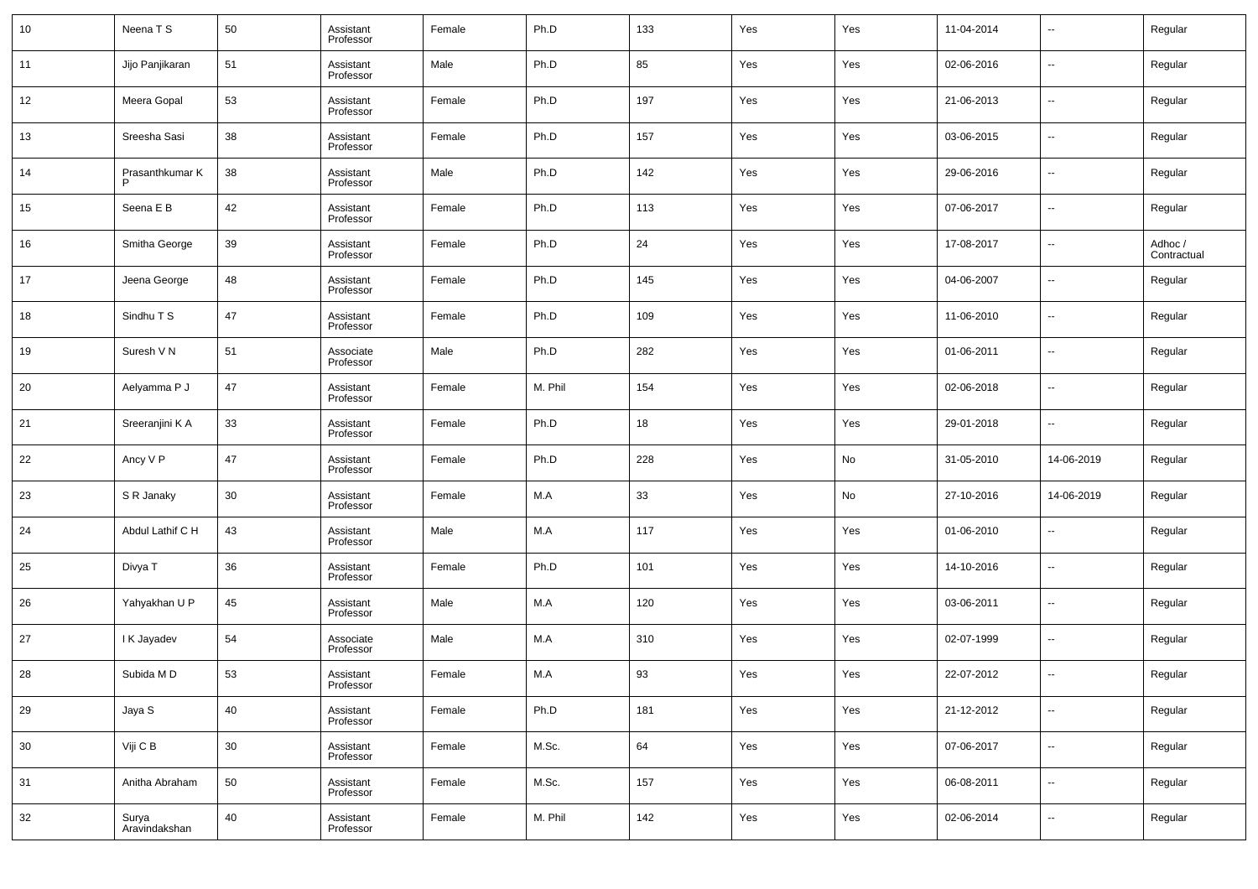| 10 | Neena T S              | 50 | Assistant<br>Professor | Female | Ph.D    | 133 | Yes | Yes | 11-04-2014 | $\overline{\phantom{a}}$ | Regular                |
|----|------------------------|----|------------------------|--------|---------|-----|-----|-----|------------|--------------------------|------------------------|
| 11 | Jijo Panjikaran        | 51 | Assistant<br>Professor | Male   | Ph.D    | 85  | Yes | Yes | 02-06-2016 | $\overline{\phantom{a}}$ | Regular                |
| 12 | Meera Gopal            | 53 | Assistant<br>Professor | Female | Ph.D    | 197 | Yes | Yes | 21-06-2013 | $\overline{\phantom{a}}$ | Regular                |
| 13 | Sreesha Sasi           | 38 | Assistant<br>Professor | Female | Ph.D    | 157 | Yes | Yes | 03-06-2015 | $\overline{\phantom{a}}$ | Regular                |
| 14 | Prasanthkumar K        | 38 | Assistant<br>Professor | Male   | Ph.D    | 142 | Yes | Yes | 29-06-2016 | $\overline{\phantom{a}}$ | Regular                |
| 15 | Seena E B              | 42 | Assistant<br>Professor | Female | Ph.D    | 113 | Yes | Yes | 07-06-2017 | $\overline{\phantom{a}}$ | Regular                |
| 16 | Smitha George          | 39 | Assistant<br>Professor | Female | Ph.D    | 24  | Yes | Yes | 17-08-2017 | $\overline{\phantom{a}}$ | Adhoc /<br>Contractual |
| 17 | Jeena George           | 48 | Assistant<br>Professor | Female | Ph.D    | 145 | Yes | Yes | 04-06-2007 | $\overline{\phantom{a}}$ | Regular                |
| 18 | Sindhu T S             | 47 | Assistant<br>Professor | Female | Ph.D    | 109 | Yes | Yes | 11-06-2010 | $\overline{\phantom{a}}$ | Regular                |
| 19 | Suresh V N             | 51 | Associate<br>Professor | Male   | Ph.D    | 282 | Yes | Yes | 01-06-2011 | $\overline{\phantom{a}}$ | Regular                |
| 20 | Aelyamma P J           | 47 | Assistant<br>Professor | Female | M. Phil | 154 | Yes | Yes | 02-06-2018 | $\overline{\phantom{a}}$ | Regular                |
| 21 | Sreeranjini K A        | 33 | Assistant<br>Professor | Female | Ph.D    | 18  | Yes | Yes | 29-01-2018 | $\overline{\phantom{a}}$ | Regular                |
| 22 | Ancy V P               | 47 | Assistant<br>Professor | Female | Ph.D    | 228 | Yes | No  | 31-05-2010 | 14-06-2019               | Regular                |
| 23 | S R Janaky             | 30 | Assistant<br>Professor | Female | M.A     | 33  | Yes | No  | 27-10-2016 | 14-06-2019               | Regular                |
| 24 | Abdul Lathif C H       | 43 | Assistant<br>Professor | Male   | M.A     | 117 | Yes | Yes | 01-06-2010 | $\overline{\phantom{a}}$ | Regular                |
| 25 | Divya T                | 36 | Assistant<br>Professor | Female | Ph.D    | 101 | Yes | Yes | 14-10-2016 | $\overline{\phantom{a}}$ | Regular                |
| 26 | Yahyakhan U P          | 45 | Assistant<br>Professor | Male   | M.A     | 120 | Yes | Yes | 03-06-2011 | $\overline{\phantom{a}}$ | Regular                |
| 27 | I K Jayadev            | 54 | Associate<br>Professor | Male   | M.A     | 310 | Yes | Yes | 02-07-1999 | $\overline{\phantom{a}}$ | Regular                |
| 28 | Subida M D             | 53 | Assistant<br>Professor | Female | M.A     | 93  | Yes | Yes | 22-07-2012 | $\overline{\phantom{a}}$ | Regular                |
| 29 | Jaya S                 | 40 | Assistant<br>Professor | Female | Ph.D    | 181 | Yes | Yes | 21-12-2012 | $\overline{\phantom{a}}$ | Regular                |
| 30 | Viji C B               | 30 | Assistant<br>Professor | Female | M.Sc.   | 64  | Yes | Yes | 07-06-2017 | $\overline{\phantom{a}}$ | Regular                |
| 31 | Anitha Abraham         | 50 | Assistant<br>Professor | Female | M.Sc.   | 157 | Yes | Yes | 06-08-2011 | $\overline{\phantom{a}}$ | Regular                |
| 32 | Surya<br>Aravindakshan | 40 | Assistant<br>Professor | Female | M. Phil | 142 | Yes | Yes | 02-06-2014 | $\overline{\phantom{a}}$ | Regular                |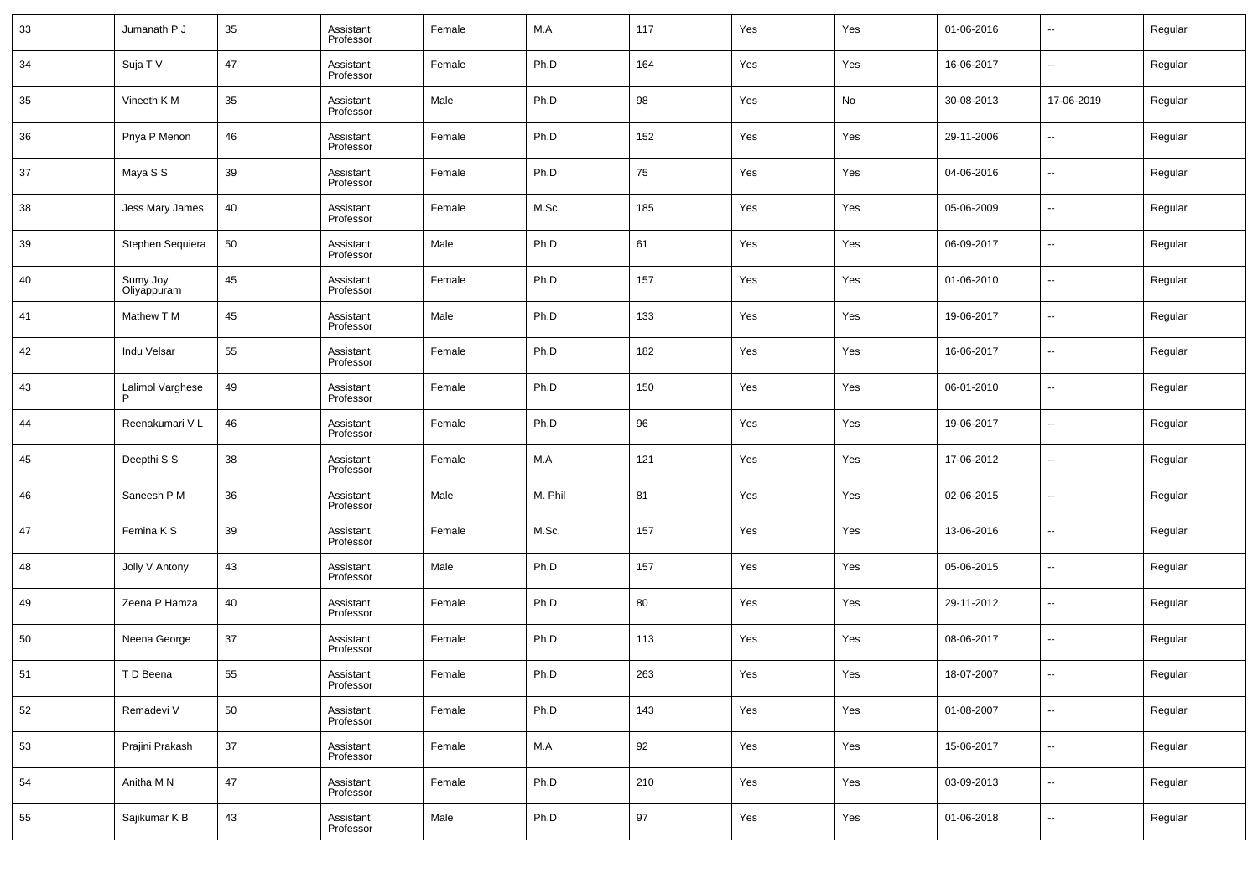| 33 | Jumanath P J            | 35 | Assistant<br>Professor | Female | M.A     | 117 | Yes | Yes | 01-06-2016 | $\overline{\phantom{a}}$ | Regular |
|----|-------------------------|----|------------------------|--------|---------|-----|-----|-----|------------|--------------------------|---------|
| 34 | Suja T V                | 47 | Assistant<br>Professor | Female | Ph.D    | 164 | Yes | Yes | 16-06-2017 | $\overline{\phantom{a}}$ | Regular |
| 35 | Vineeth K M             | 35 | Assistant<br>Professor | Male   | Ph.D    | 98  | Yes | No  | 30-08-2013 | 17-06-2019               | Regular |
| 36 | Priya P Menon           | 46 | Assistant<br>Professor | Female | Ph.D    | 152 | Yes | Yes | 29-11-2006 | $\overline{\phantom{a}}$ | Regular |
| 37 | Maya S S                | 39 | Assistant<br>Professor | Female | Ph.D    | 75  | Yes | Yes | 04-06-2016 | $\overline{\phantom{a}}$ | Regular |
| 38 | Jess Mary James         | 40 | Assistant<br>Professor | Female | M.Sc.   | 185 | Yes | Yes | 05-06-2009 | $\overline{\phantom{a}}$ | Regular |
| 39 | Stephen Sequiera        | 50 | Assistant<br>Professor | Male   | Ph.D    | 61  | Yes | Yes | 06-09-2017 | $\overline{\phantom{a}}$ | Regular |
| 40 | Sumy Joy<br>Oliyappuram | 45 | Assistant<br>Professor | Female | Ph.D    | 157 | Yes | Yes | 01-06-2010 | $\overline{\phantom{a}}$ | Regular |
| 41 | Mathew T M              | 45 | Assistant<br>Professor | Male   | Ph.D    | 133 | Yes | Yes | 19-06-2017 | $\overline{\phantom{a}}$ | Regular |
| 42 | Indu Velsar             | 55 | Assistant<br>Professor | Female | Ph.D    | 182 | Yes | Yes | 16-06-2017 | $\overline{\phantom{a}}$ | Regular |
| 43 | Lalimol Varghese        | 49 | Assistant<br>Professor | Female | Ph.D    | 150 | Yes | Yes | 06-01-2010 | $\overline{\phantom{a}}$ | Regular |
| 44 | Reenakumari VL          | 46 | Assistant<br>Professor | Female | Ph.D    | 96  | Yes | Yes | 19-06-2017 | $\overline{\phantom{a}}$ | Regular |
| 45 | Deepthi S S             | 38 | Assistant<br>Professor | Female | M.A     | 121 | Yes | Yes | 17-06-2012 | $\overline{\phantom{a}}$ | Regular |
| 46 | Saneesh P M             | 36 | Assistant<br>Professor | Male   | M. Phil | 81  | Yes | Yes | 02-06-2015 | $\overline{\phantom{a}}$ | Regular |
| 47 | Femina K S              | 39 | Assistant<br>Professor | Female | M.Sc.   | 157 | Yes | Yes | 13-06-2016 | $\overline{\phantom{a}}$ | Regular |
| 48 | Jolly V Antony          | 43 | Assistant<br>Professor | Male   | Ph.D    | 157 | Yes | Yes | 05-06-2015 | $\overline{\phantom{a}}$ | Regular |
| 49 | Zeena P Hamza           | 40 | Assistant<br>Professor | Female | Ph.D    | 80  | Yes | Yes | 29-11-2012 | $\overline{\phantom{a}}$ | Regular |
| 50 | Neena George            | 37 | Assistant<br>Professor | Female | Ph.D    | 113 | Yes | Yes | 08-06-2017 | $\overline{\phantom{a}}$ | Regular |
| 51 | T D Beena               | 55 | Assistant<br>Professor | Female | Ph.D    | 263 | Yes | Yes | 18-07-2007 | $\overline{\phantom{a}}$ | Regular |
| 52 | Remadevi V              | 50 | Assistant<br>Professor | Female | Ph.D    | 143 | Yes | Yes | 01-08-2007 | $\overline{\phantom{a}}$ | Regular |
| 53 | Prajini Prakash         | 37 | Assistant<br>Professor | Female | M.A     | 92  | Yes | Yes | 15-06-2017 | $\overline{\phantom{a}}$ | Regular |
| 54 | Anitha M N              | 47 | Assistant<br>Professor | Female | Ph.D    | 210 | Yes | Yes | 03-09-2013 | $\overline{\phantom{a}}$ | Regular |
| 55 | Sajikumar K B           | 43 | Assistant<br>Professor | Male   | Ph.D    | 97  | Yes | Yes | 01-06-2018 | $\overline{\phantom{a}}$ | Regular |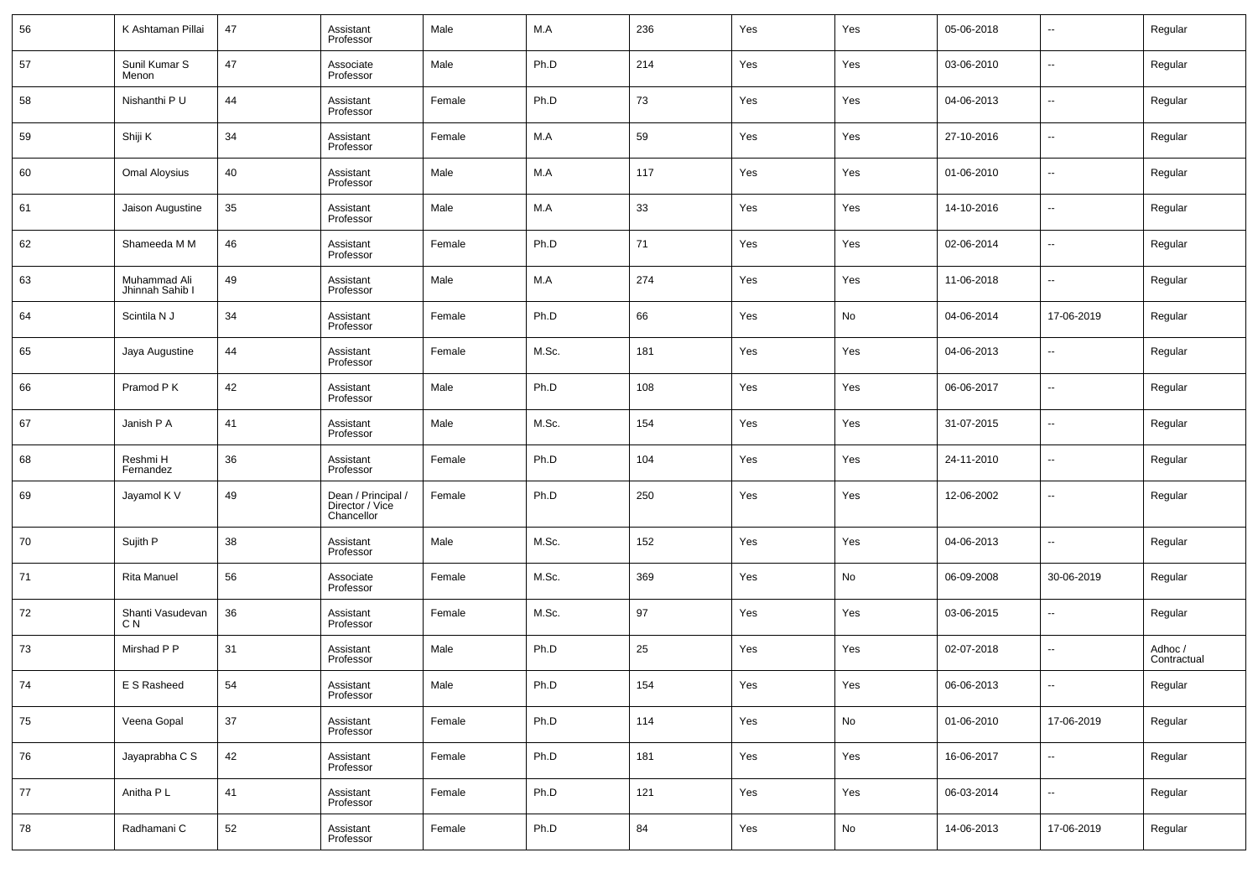| 56 | K Ashtaman Pillai               | 47     | Assistant<br>Professor                              | Male   | M.A   | 236 | Yes | Yes | 05-06-2018 | --                       | Regular                |
|----|---------------------------------|--------|-----------------------------------------------------|--------|-------|-----|-----|-----|------------|--------------------------|------------------------|
| 57 | Sunil Kumar S<br>Menon          | 47     | Associate<br>Professor                              | Male   | Ph.D  | 214 | Yes | Yes | 03-06-2010 | --                       | Regular                |
| 58 | Nishanthi P U                   | 44     | Assistant<br>Professor                              | Female | Ph.D  | 73  | Yes | Yes | 04-06-2013 | $\overline{\phantom{a}}$ | Regular                |
| 59 | Shiji K                         | 34     | Assistant<br>Professor                              | Female | M.A   | 59  | Yes | Yes | 27-10-2016 | $\overline{\phantom{a}}$ | Regular                |
| 60 | <b>Omal Aloysius</b>            | 40     | Assistant<br>Professor                              | Male   | M.A   | 117 | Yes | Yes | 01-06-2010 | $\overline{\phantom{a}}$ | Regular                |
| 61 | Jaison Augustine                | 35     | Assistant<br>Professor                              | Male   | M.A   | 33  | Yes | Yes | 14-10-2016 | $\overline{\phantom{a}}$ | Regular                |
| 62 | Shameeda M M                    | 46     | Assistant<br>Professor                              | Female | Ph.D  | 71  | Yes | Yes | 02-06-2014 | ш,                       | Regular                |
| 63 | Muhammad Ali<br>Jhinnah Sahib I | 49     | Assistant<br>Professor                              | Male   | M.A   | 274 | Yes | Yes | 11-06-2018 | ш,                       | Regular                |
| 64 | Scintila N J                    | 34     | Assistant<br>Professor                              | Female | Ph.D  | 66  | Yes | No  | 04-06-2014 | 17-06-2019               | Regular                |
| 65 | Jaya Augustine                  | 44     | Assistant<br>Professor                              | Female | M.Sc. | 181 | Yes | Yes | 04-06-2013 | --                       | Regular                |
| 66 | Pramod P K                      | 42     | Assistant<br>Professor                              | Male   | Ph.D  | 108 | Yes | Yes | 06-06-2017 | ш,                       | Regular                |
| 67 | Janish P A                      | 41     | Assistant<br>Professor                              | Male   | M.Sc. | 154 | Yes | Yes | 31-07-2015 | ш,                       | Regular                |
| 68 | Reshmi H<br>Fernandez           | 36     | Assistant<br>Professor                              | Female | Ph.D  | 104 | Yes | Yes | 24-11-2010 | ш,                       | Regular                |
| 69 | Jayamol K V                     | 49     | Dean / Principal /<br>Director / Vice<br>Chancellor | Female | Ph.D  | 250 | Yes | Yes | 12-06-2002 | --                       | Regular                |
| 70 | Sujith P                        | 38     | Assistant<br>Professor                              | Male   | M.Sc. | 152 | Yes | Yes | 04-06-2013 | --                       | Regular                |
| 71 | <b>Rita Manuel</b>              | 56     | Associate<br>Professor                              | Female | M.Sc. | 369 | Yes | No  | 06-09-2008 | 30-06-2019               | Regular                |
| 72 | Shanti Vasudevan<br>C N         | 36     | Assistant<br>Professor                              | Female | M.Sc. | 97  | Yes | Yes | 03-06-2015 | --                       | Regular                |
| 73 | Mirshad P P                     | 31     | Assistant<br>Professor                              | Male   | Ph.D  | 25  | Yes | Yes | 02-07-2018 | --                       | Adhoc /<br>Contractual |
| 74 | E S Rasheed                     | 54     | Assistant<br>Professor                              | Male   | Ph.D  | 154 | Yes | Yes | 06-06-2013 |                          | Regular                |
| 75 | Veena Gopal                     | $37\,$ | Assistant<br>Professor                              | Female | Ph.D  | 114 | Yes | No  | 01-06-2010 | 17-06-2019               | Regular                |
| 76 | Jayaprabha C S                  | 42     | Assistant<br>Professor                              | Female | Ph.D  | 181 | Yes | Yes | 16-06-2017 | н.                       | Regular                |
| 77 | Anitha P L                      | 41     | Assistant<br>Professor                              | Female | Ph.D  | 121 | Yes | Yes | 06-03-2014 | $\overline{\phantom{a}}$ | Regular                |
| 78 | Radhamani C                     | 52     | Assistant<br>Professor                              | Female | Ph.D  | 84  | Yes | No  | 14-06-2013 | 17-06-2019               | Regular                |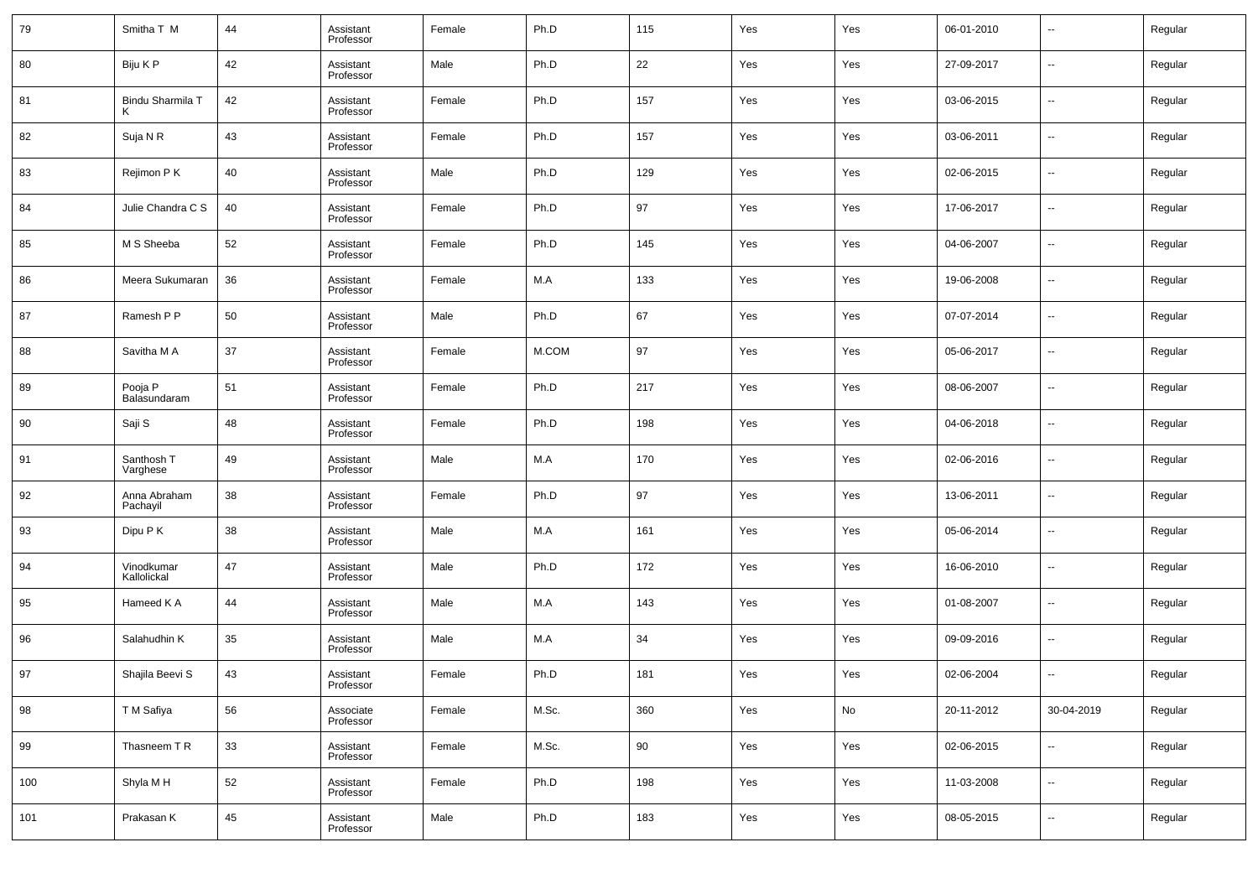| 79  | Smitha T M                | 44 | Assistant<br>Professor | Female | Ph.D  | 115 | Yes | Yes | 06-01-2010 | $\overline{\phantom{a}}$ | Regular |
|-----|---------------------------|----|------------------------|--------|-------|-----|-----|-----|------------|--------------------------|---------|
| 80  | Biju K P                  | 42 | Assistant<br>Professor | Male   | Ph.D  | 22  | Yes | Yes | 27-09-2017 | $\overline{\phantom{a}}$ | Regular |
| 81  | Bindu Sharmila T          | 42 | Assistant<br>Professor | Female | Ph.D  | 157 | Yes | Yes | 03-06-2015 | $\overline{\phantom{a}}$ | Regular |
| 82  | Suja N R                  | 43 | Assistant<br>Professor | Female | Ph.D  | 157 | Yes | Yes | 03-06-2011 | $\overline{\phantom{a}}$ | Regular |
| 83  | Rejimon P K               | 40 | Assistant<br>Professor | Male   | Ph.D  | 129 | Yes | Yes | 02-06-2015 | $\overline{\phantom{a}}$ | Regular |
| 84  | Julie Chandra C S         | 40 | Assistant<br>Professor | Female | Ph.D  | 97  | Yes | Yes | 17-06-2017 | $\overline{\phantom{a}}$ | Regular |
| 85  | M S Sheeba                | 52 | Assistant<br>Professor | Female | Ph.D  | 145 | Yes | Yes | 04-06-2007 | $\overline{\phantom{a}}$ | Regular |
| 86  | Meera Sukumaran           | 36 | Assistant<br>Professor | Female | M.A   | 133 | Yes | Yes | 19-06-2008 | $\overline{\phantom{a}}$ | Regular |
| 87  | Ramesh P P                | 50 | Assistant<br>Professor | Male   | Ph.D  | 67  | Yes | Yes | 07-07-2014 | $\overline{\phantom{a}}$ | Regular |
| 88  | Savitha M A               | 37 | Assistant<br>Professor | Female | M.COM | 97  | Yes | Yes | 05-06-2017 | $\overline{\phantom{a}}$ | Regular |
| 89  | Pooja P<br>Balasundaram   | 51 | Assistant<br>Professor | Female | Ph.D  | 217 | Yes | Yes | 08-06-2007 | $\overline{\phantom{a}}$ | Regular |
| 90  | Saji S                    | 48 | Assistant<br>Professor | Female | Ph.D  | 198 | Yes | Yes | 04-06-2018 | $\overline{\phantom{a}}$ | Regular |
| 91  | Santhosh T<br>Varghese    | 49 | Assistant<br>Professor | Male   | M.A   | 170 | Yes | Yes | 02-06-2016 | $\overline{\phantom{a}}$ | Regular |
| 92  | Anna Abraham<br>Pachayil  | 38 | Assistant<br>Professor | Female | Ph.D  | 97  | Yes | Yes | 13-06-2011 | $\overline{\phantom{a}}$ | Regular |
| 93  | Dipu P K                  | 38 | Assistant<br>Professor | Male   | M.A   | 161 | Yes | Yes | 05-06-2014 | $\overline{\phantom{a}}$ | Regular |
| 94  | Vinodkumar<br>Kallolickal | 47 | Assistant<br>Professor | Male   | Ph.D  | 172 | Yes | Yes | 16-06-2010 | $\overline{\phantom{a}}$ | Regular |
| 95  | Hameed K A                | 44 | Assistant<br>Professor | Male   | M.A   | 143 | Yes | Yes | 01-08-2007 | $\overline{\phantom{a}}$ | Regular |
| 96  | Salahudhin K              | 35 | Assistant<br>Professor | Male   | M.A   | 34  | Yes | Yes | 09-09-2016 | $\overline{\phantom{a}}$ | Regular |
| 97  | Shajila Beevi S           | 43 | Assistant<br>Professor | Female | Ph.D  | 181 | Yes | Yes | 02-06-2004 | $\overline{\phantom{a}}$ | Regular |
| 98  | T M Safiya                | 56 | Associate<br>Professor | Female | M.Sc. | 360 | Yes | No  | 20-11-2012 | 30-04-2019               | Regular |
| 99  | Thasneem TR               | 33 | Assistant<br>Professor | Female | M.Sc. | 90  | Yes | Yes | 02-06-2015 | $\overline{\phantom{a}}$ | Regular |
| 100 | Shyla M H                 | 52 | Assistant<br>Professor | Female | Ph.D  | 198 | Yes | Yes | 11-03-2008 | $\overline{\phantom{a}}$ | Regular |
| 101 | Prakasan K                | 45 | Assistant<br>Professor | Male   | Ph.D  | 183 | Yes | Yes | 08-05-2015 | $\overline{\phantom{a}}$ | Regular |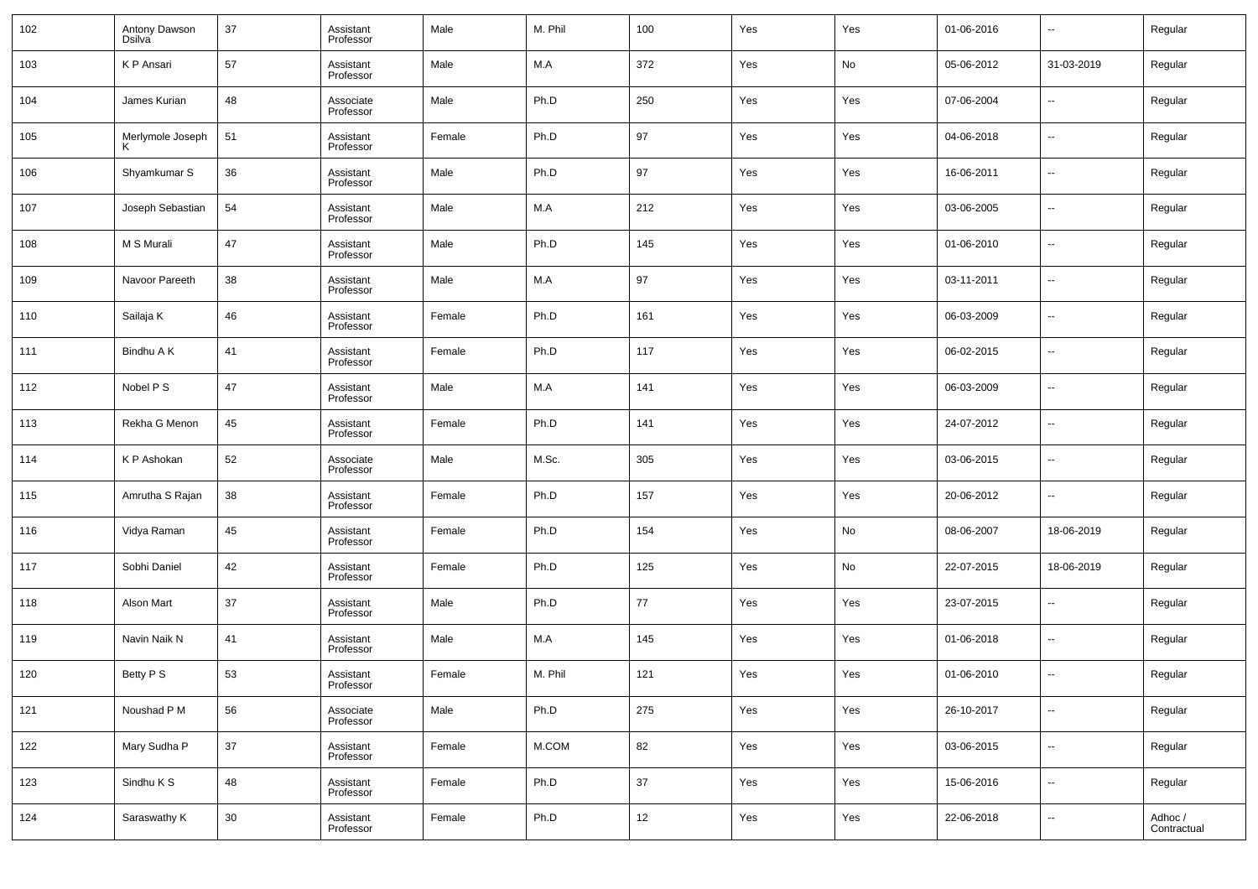| 102 | Antony Dawson<br><b>Dsilva</b> | 37 | Assistant<br>Professor | Male   | M. Phil | 100    | Yes | Yes | 01-06-2016 | $\overline{\phantom{a}}$ | Regular                |
|-----|--------------------------------|----|------------------------|--------|---------|--------|-----|-----|------------|--------------------------|------------------------|
| 103 | K P Ansari                     | 57 | Assistant<br>Professor | Male   | M.A     | 372    | Yes | No  | 05-06-2012 | 31-03-2019               | Regular                |
| 104 | James Kurian                   | 48 | Associate<br>Professor | Male   | Ph.D    | 250    | Yes | Yes | 07-06-2004 | $\overline{\phantom{a}}$ | Regular                |
| 105 | Merlymole Joseph               | 51 | Assistant<br>Professor | Female | Ph.D    | 97     | Yes | Yes | 04-06-2018 | --                       | Regular                |
| 106 | Shyamkumar S                   | 36 | Assistant<br>Professor | Male   | Ph.D    | 97     | Yes | Yes | 16-06-2011 | --                       | Regular                |
| 107 | Joseph Sebastian               | 54 | Assistant<br>Professor | Male   | M.A     | 212    | Yes | Yes | 03-06-2005 | --                       | Regular                |
| 108 | M S Murali                     | 47 | Assistant<br>Professor | Male   | Ph.D    | 145    | Yes | Yes | 01-06-2010 | --                       | Regular                |
| 109 | Navoor Pareeth                 | 38 | Assistant<br>Professor | Male   | M.A     | 97     | Yes | Yes | 03-11-2011 | --                       | Regular                |
| 110 | Sailaja K                      | 46 | Assistant<br>Professor | Female | Ph.D    | 161    | Yes | Yes | 06-03-2009 | --                       | Regular                |
| 111 | Bindhu A K                     | 41 | Assistant<br>Professor | Female | Ph.D    | 117    | Yes | Yes | 06-02-2015 | $\overline{\phantom{a}}$ | Regular                |
| 112 | Nobel P S                      | 47 | Assistant<br>Professor | Male   | M.A     | 141    | Yes | Yes | 06-03-2009 | --                       | Regular                |
| 113 | Rekha G Menon                  | 45 | Assistant<br>Professor | Female | Ph.D    | 141    | Yes | Yes | 24-07-2012 | --                       | Regular                |
| 114 | K P Ashokan                    | 52 | Associate<br>Professor | Male   | M.Sc.   | 305    | Yes | Yes | 03-06-2015 | --                       | Regular                |
| 115 | Amrutha S Rajan                | 38 | Assistant<br>Professor | Female | Ph.D    | 157    | Yes | Yes | 20-06-2012 | $\overline{\phantom{a}}$ | Regular                |
| 116 | Vidya Raman                    | 45 | Assistant<br>Professor | Female | Ph.D    | 154    | Yes | No  | 08-06-2007 | 18-06-2019               | Regular                |
| 117 | Sobhi Daniel                   | 42 | Assistant<br>Professor | Female | Ph.D    | 125    | Yes | No  | 22-07-2015 | 18-06-2019               | Regular                |
| 118 | Alson Mart                     | 37 | Assistant<br>Professor | Male   | Ph.D    | 77     | Yes | Yes | 23-07-2015 | --                       | Regular                |
| 119 | Navin Naik N                   | 41 | Assistant<br>Professor | Male   | M.A     | 145    | Yes | Yes | 01-06-2018 | --                       | Regular                |
| 120 | Betty P S                      | 53 | Assistant<br>Professor | Female | M. Phil | 121    | Yes | Yes | 01-06-2010 | $\overline{\phantom{a}}$ | Regular                |
| 121 | Noushad P M                    | 56 | Associate<br>Professor | Male   | Ph.D    | 275    | Yes | Yes | 26-10-2017 | $\overline{\phantom{a}}$ | Regular                |
| 122 | Mary Sudha P                   | 37 | Assistant<br>Professor | Female | M.COM   | 82     | Yes | Yes | 03-06-2015 | $\sim$                   | Regular                |
| 123 | Sindhu K S                     | 48 | Assistant<br>Professor | Female | Ph.D    | $37\,$ | Yes | Yes | 15-06-2016 | $\sim$                   | Regular                |
| 124 | Saraswathy K                   | 30 | Assistant<br>Professor | Female | Ph.D    | 12     | Yes | Yes | 22-06-2018 | $\sim$                   | Adhoc /<br>Contractual |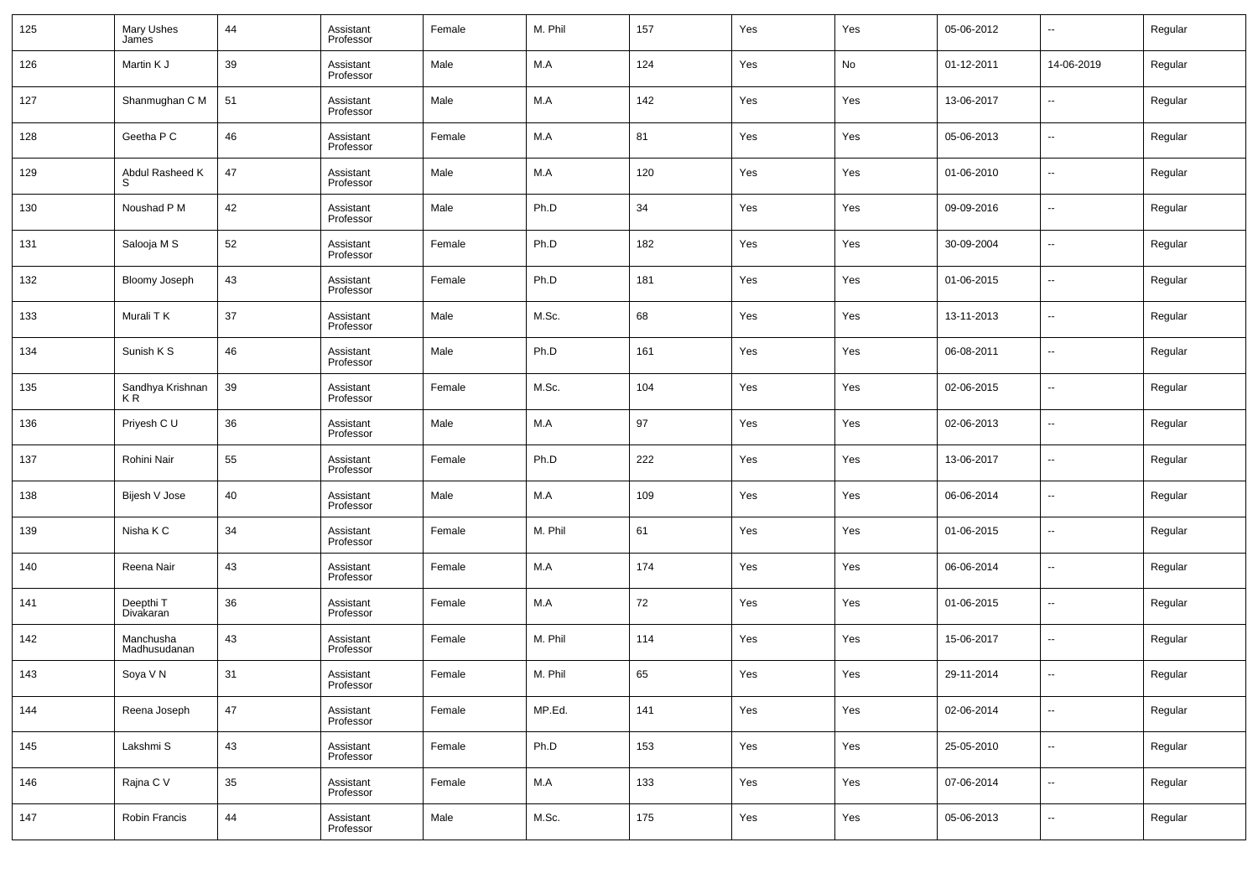| 125 | Mary Ushes<br>James       | 44 | Assistant<br>Professor | Female | M. Phil | 157 | Yes | Yes | 05-06-2012 | $\overline{\phantom{a}}$ | Regular |
|-----|---------------------------|----|------------------------|--------|---------|-----|-----|-----|------------|--------------------------|---------|
| 126 | Martin K J                | 39 | Assistant<br>Professor | Male   | M.A     | 124 | Yes | No  | 01-12-2011 | 14-06-2019               | Regular |
| 127 | Shanmughan C M            | 51 | Assistant<br>Professor | Male   | M.A     | 142 | Yes | Yes | 13-06-2017 | $\overline{\phantom{a}}$ | Regular |
| 128 | Geetha P C                | 46 | Assistant<br>Professor | Female | M.A     | 81  | Yes | Yes | 05-06-2013 | $\overline{\phantom{a}}$ | Regular |
| 129 | Abdul Rasheed K<br>S      | 47 | Assistant<br>Professor | Male   | M.A     | 120 | Yes | Yes | 01-06-2010 | $\overline{\phantom{a}}$ | Regular |
| 130 | Noushad P M               | 42 | Assistant<br>Professor | Male   | Ph.D    | 34  | Yes | Yes | 09-09-2016 | $\overline{\phantom{a}}$ | Regular |
| 131 | Salooja M S               | 52 | Assistant<br>Professor | Female | Ph.D    | 182 | Yes | Yes | 30-09-2004 | $\overline{\phantom{a}}$ | Regular |
| 132 | <b>Bloomy Joseph</b>      | 43 | Assistant<br>Professor | Female | Ph.D    | 181 | Yes | Yes | 01-06-2015 | $\overline{\phantom{a}}$ | Regular |
| 133 | Murali T K                | 37 | Assistant<br>Professor | Male   | M.Sc.   | 68  | Yes | Yes | 13-11-2013 | $\overline{\phantom{a}}$ | Regular |
| 134 | Sunish K S                | 46 | Assistant<br>Professor | Male   | Ph.D    | 161 | Yes | Yes | 06-08-2011 | $\overline{\phantom{a}}$ | Regular |
| 135 | Sandhya Krishnan<br>KR.   | 39 | Assistant<br>Professor | Female | M.Sc.   | 104 | Yes | Yes | 02-06-2015 | $\overline{\phantom{a}}$ | Regular |
| 136 | Priyesh C U               | 36 | Assistant<br>Professor | Male   | M.A     | 97  | Yes | Yes | 02-06-2013 | $\overline{\phantom{a}}$ | Regular |
| 137 | Rohini Nair               | 55 | Assistant<br>Professor | Female | Ph.D    | 222 | Yes | Yes | 13-06-2017 | $\overline{\phantom{a}}$ | Regular |
| 138 | Bijesh V Jose             | 40 | Assistant<br>Professor | Male   | M.A     | 109 | Yes | Yes | 06-06-2014 | $\overline{\phantom{a}}$ | Regular |
| 139 | Nisha K C                 | 34 | Assistant<br>Professor | Female | M. Phil | 61  | Yes | Yes | 01-06-2015 | $\overline{\phantom{a}}$ | Regular |
| 140 | Reena Nair                | 43 | Assistant<br>Professor | Female | M.A     | 174 | Yes | Yes | 06-06-2014 | $\overline{\phantom{a}}$ | Regular |
| 141 | Deepthi T<br>Divakaran    | 36 | Assistant<br>Professor | Female | M.A     | 72  | Yes | Yes | 01-06-2015 | $\overline{\phantom{a}}$ | Regular |
| 142 | Manchusha<br>Madhusudanan | 43 | Assistant<br>Professor | Female | M. Phil | 114 | Yes | Yes | 15-06-2017 | $\overline{\phantom{a}}$ | Regular |
| 143 | Soya V N                  | 31 | Assistant<br>Professor | Female | M. Phil | 65  | Yes | Yes | 29-11-2014 | $\overline{\phantom{a}}$ | Regular |
| 144 | Reena Joseph              | 47 | Assistant<br>Professor | Female | MP.Ed.  | 141 | Yes | Yes | 02-06-2014 | $\overline{\phantom{a}}$ | Regular |
| 145 | Lakshmi S                 | 43 | Assistant<br>Professor | Female | Ph.D    | 153 | Yes | Yes | 25-05-2010 | $\overline{\phantom{a}}$ | Regular |
| 146 | Rajna C V                 | 35 | Assistant<br>Professor | Female | M.A     | 133 | Yes | Yes | 07-06-2014 | $\overline{\phantom{a}}$ | Regular |
| 147 | Robin Francis             | 44 | Assistant<br>Professor | Male   | M.Sc.   | 175 | Yes | Yes | 05-06-2013 | ۰.                       | Regular |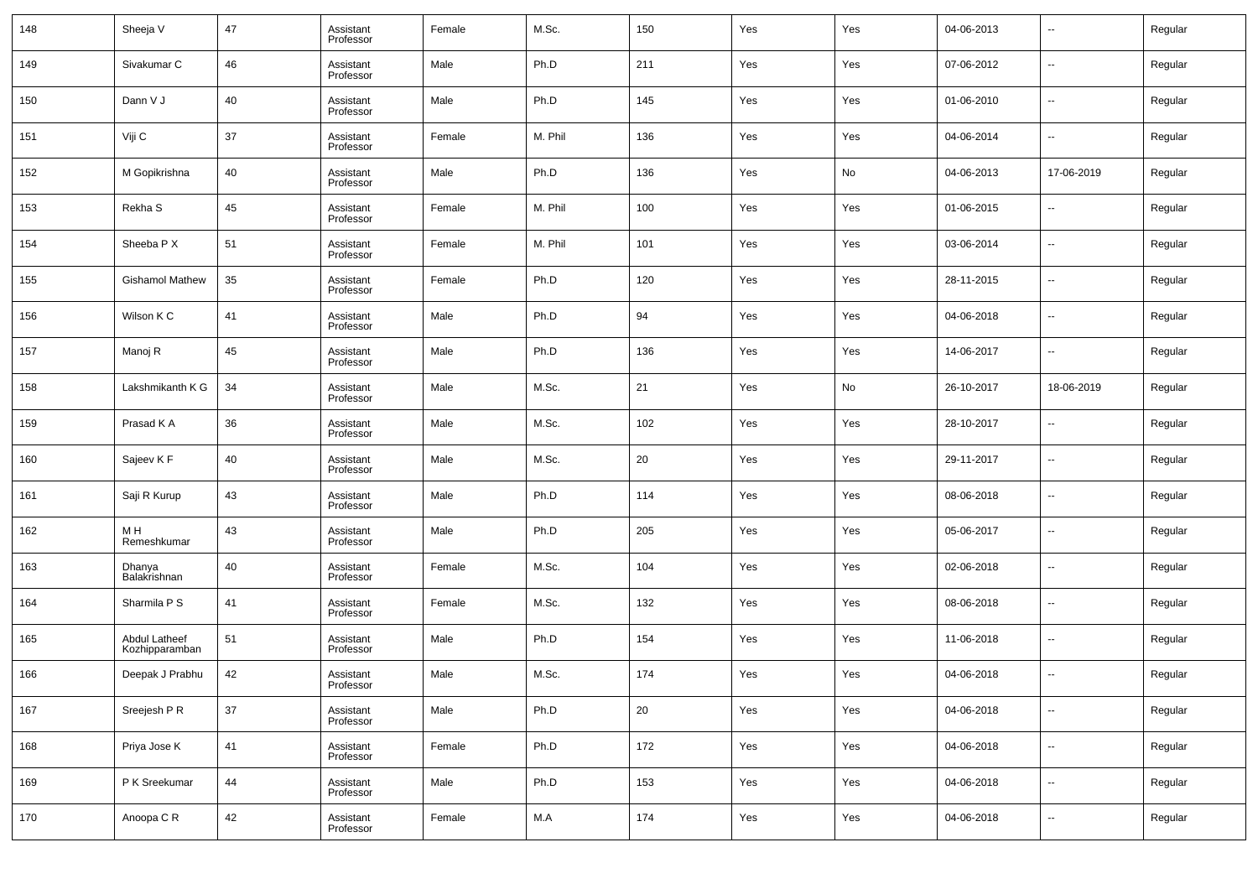| 148 | Sheeja V                        | 47 | Assistant<br>Professor | Female | M.Sc.   | 150    | Yes | Yes | 04-06-2013 | $\overline{\phantom{a}}$ | Regular |
|-----|---------------------------------|----|------------------------|--------|---------|--------|-----|-----|------------|--------------------------|---------|
| 149 | Sivakumar C                     | 46 | Assistant<br>Professor | Male   | Ph.D    | 211    | Yes | Yes | 07-06-2012 | $\overline{\phantom{a}}$ | Regular |
| 150 | Dann V J                        | 40 | Assistant<br>Professor | Male   | Ph.D    | 145    | Yes | Yes | 01-06-2010 | $\overline{\phantom{a}}$ | Regular |
| 151 | Viji C                          | 37 | Assistant<br>Professor | Female | M. Phil | 136    | Yes | Yes | 04-06-2014 | $\overline{\phantom{a}}$ | Regular |
| 152 | M Gopikrishna                   | 40 | Assistant<br>Professor | Male   | Ph.D    | 136    | Yes | No  | 04-06-2013 | 17-06-2019               | Regular |
| 153 | Rekha S                         | 45 | Assistant<br>Professor | Female | M. Phil | 100    | Yes | Yes | 01-06-2015 | $\overline{\phantom{a}}$ | Regular |
| 154 | Sheeba P X                      | 51 | Assistant<br>Professor | Female | M. Phil | 101    | Yes | Yes | 03-06-2014 | $\overline{\phantom{a}}$ | Regular |
| 155 | <b>Gishamol Mathew</b>          | 35 | Assistant<br>Professor | Female | Ph.D    | 120    | Yes | Yes | 28-11-2015 | $\overline{\phantom{a}}$ | Regular |
| 156 | Wilson K C                      | 41 | Assistant<br>Professor | Male   | Ph.D    | 94     | Yes | Yes | 04-06-2018 | $\overline{\phantom{a}}$ | Regular |
| 157 | Manoj R                         | 45 | Assistant<br>Professor | Male   | Ph.D    | 136    | Yes | Yes | 14-06-2017 | $\overline{\phantom{a}}$ | Regular |
| 158 | Lakshmikanth K G                | 34 | Assistant<br>Professor | Male   | M.Sc.   | 21     | Yes | No  | 26-10-2017 | 18-06-2019               | Regular |
| 159 | Prasad K A                      | 36 | Assistant<br>Professor | Male   | M.Sc.   | 102    | Yes | Yes | 28-10-2017 | $\overline{\phantom{a}}$ | Regular |
| 160 | Sajeev K F                      | 40 | Assistant<br>Professor | Male   | M.Sc.   | 20     | Yes | Yes | 29-11-2017 | $\overline{\phantom{a}}$ | Regular |
| 161 | Saji R Kurup                    | 43 | Assistant<br>Professor | Male   | Ph.D    | 114    | Yes | Yes | 08-06-2018 | $\overline{\phantom{a}}$ | Regular |
| 162 | M H<br>Remeshkumar              | 43 | Assistant<br>Professor | Male   | Ph.D    | 205    | Yes | Yes | 05-06-2017 | $\overline{\phantom{a}}$ | Regular |
| 163 | Dhanya<br>Balakrishnan          | 40 | Assistant<br>Professor | Female | M.Sc.   | 104    | Yes | Yes | 02-06-2018 | $\overline{\phantom{a}}$ | Regular |
| 164 | Sharmila P S                    | 41 | Assistant<br>Professor | Female | M.Sc.   | 132    | Yes | Yes | 08-06-2018 | $\overline{\phantom{a}}$ | Regular |
| 165 | Abdul Latheef<br>Kozhipparamban | 51 | Assistant<br>Professor | Male   | Ph.D    | 154    | Yes | Yes | 11-06-2018 | $\overline{\phantom{a}}$ | Regular |
| 166 | Deepak J Prabhu                 | 42 | Assistant<br>Professor | Male   | M.Sc.   | 174    | Yes | Yes | 04-06-2018 | $\overline{\phantom{a}}$ | Regular |
| 167 | Sreejesh P R                    | 37 | Assistant<br>Professor | Male   | Ph.D    | $20\,$ | Yes | Yes | 04-06-2018 | $\overline{\phantom{a}}$ | Regular |
| 168 | Priya Jose K                    | 41 | Assistant<br>Professor | Female | Ph.D    | 172    | Yes | Yes | 04-06-2018 | $\overline{\phantom{a}}$ | Regular |
| 169 | P K Sreekumar                   | 44 | Assistant<br>Professor | Male   | Ph.D    | 153    | Yes | Yes | 04-06-2018 | $\overline{\phantom{a}}$ | Regular |
| 170 | Anoopa C R                      | 42 | Assistant<br>Professor | Female | M.A     | 174    | Yes | Yes | 04-06-2018 | $\overline{\phantom{a}}$ | Regular |